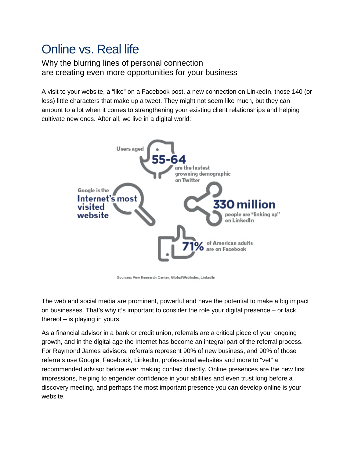## Online vs. Real life

Why the blurring lines of personal connection are creating even more opportunities for your business

A visit to your website, a "like" on a Facebook post, a new connection on LinkedIn, those 140 (or less) little characters that make up a tweet. They might not seem like much, but they can amount to a lot when it comes to strengthening your existing client relationships and helping cultivate new ones. After all, we live in a digital world:



Sources: Pew Research Center, GlobalWebIndex, LinkedIn

The web and social media are prominent, powerful and have the potential to make a big impact on businesses. That's why it's important to consider the role your digital presence – or lack thereof – is playing in yours.

As a financial advisor in a bank or credit union, referrals are a critical piece of your ongoing growth, and in the digital age the Internet has become an integral part of the referral process. For Raymond James advisors, referrals represent 90% of new business, and 90% of those referrals use Google, Facebook, LinkedIn, professional websites and more to "vet" a recommended advisor before ever making contact directly. Online presences are the new first impressions, helping to engender confidence in your abilities and even trust long before a discovery meeting, and perhaps the most important presence you can develop online is your website.